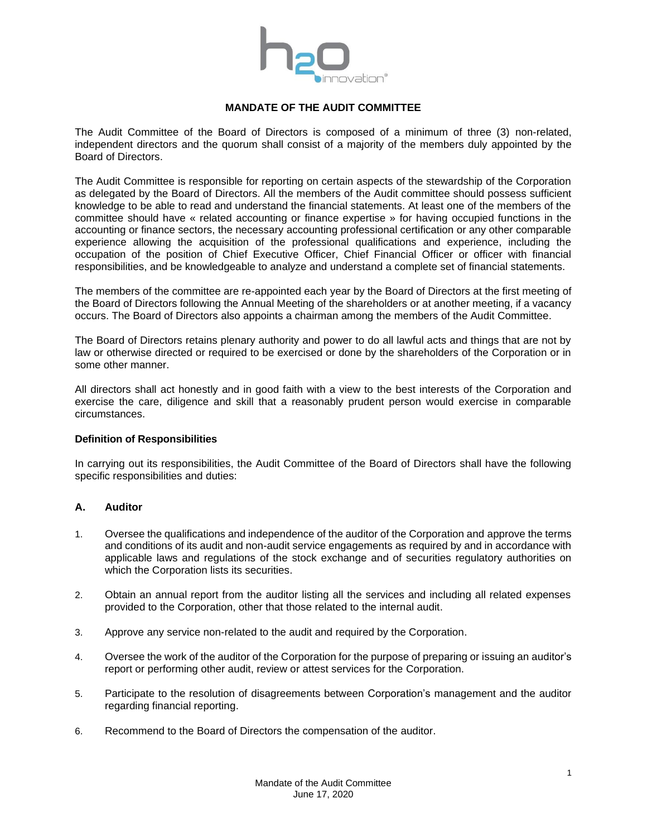

# **MANDATE OF THE AUDIT COMMITTEE**

The Audit Committee of the Board of Directors is composed of a minimum of three (3) non-related, independent directors and the quorum shall consist of a majority of the members duly appointed by the Board of Directors.

The Audit Committee is responsible for reporting on certain aspects of the stewardship of the Corporation as delegated by the Board of Directors. All the members of the Audit committee should possess sufficient knowledge to be able to read and understand the financial statements. At least one of the members of the committee should have « related accounting or finance expertise » for having occupied functions in the accounting or finance sectors, the necessary accounting professional certification or any other comparable experience allowing the acquisition of the professional qualifications and experience, including the occupation of the position of Chief Executive Officer, Chief Financial Officer or officer with financial responsibilities, and be knowledgeable to analyze and understand a complete set of financial statements.

The members of the committee are re-appointed each year by the Board of Directors at the first meeting of the Board of Directors following the Annual Meeting of the shareholders or at another meeting, if a vacancy occurs. The Board of Directors also appoints a chairman among the members of the Audit Committee.

The Board of Directors retains plenary authority and power to do all lawful acts and things that are not by law or otherwise directed or required to be exercised or done by the shareholders of the Corporation or in some other manner.

All directors shall act honestly and in good faith with a view to the best interests of the Corporation and exercise the care, diligence and skill that a reasonably prudent person would exercise in comparable circumstances.

# **Definition of Responsibilities**

In carrying out its responsibilities, the Audit Committee of the Board of Directors shall have the following specific responsibilities and duties:

# **A. Auditor**

- 1. Oversee the qualifications and independence of the auditor of the Corporation and approve the terms and conditions of its audit and non-audit service engagements as required by and in accordance with applicable laws and regulations of the stock exchange and of securities regulatory authorities on which the Corporation lists its securities.
- 2. Obtain an annual report from the auditor listing all the services and including all related expenses provided to the Corporation, other that those related to the internal audit.
- 3. Approve any service non-related to the audit and required by the Corporation.
- 4. Oversee the work of the auditor of the Corporation for the purpose of preparing or issuing an auditor's report or performing other audit, review or attest services for the Corporation.
- 5. Participate to the resolution of disagreements between Corporation's management and the auditor regarding financial reporting.
- 6. Recommend to the Board of Directors the compensation of the auditor.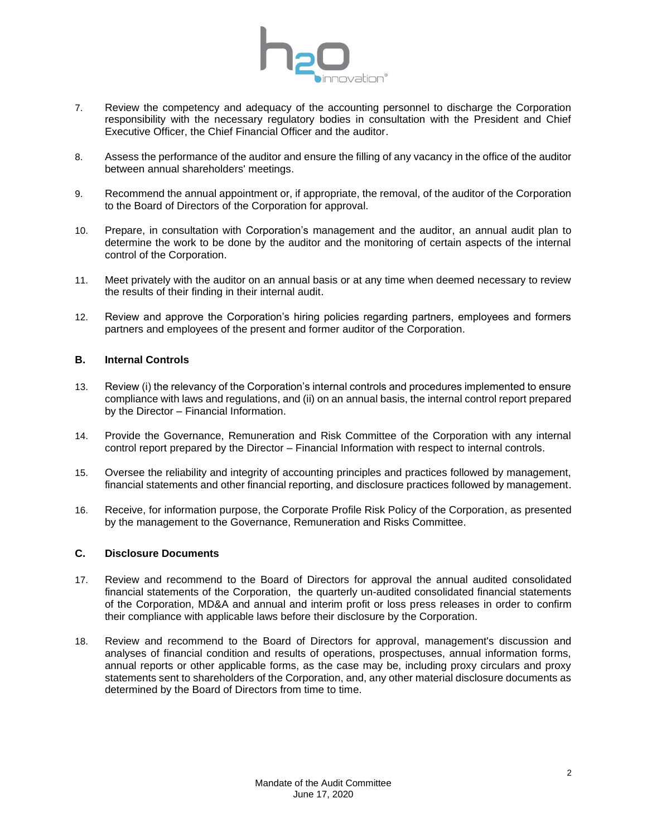

- 7. Review the competency and adequacy of the accounting personnel to discharge the Corporation responsibility with the necessary regulatory bodies in consultation with the President and Chief Executive Officer, the Chief Financial Officer and the auditor.
- 8. Assess the performance of the auditor and ensure the filling of any vacancy in the office of the auditor between annual shareholders' meetings.
- 9. Recommend the annual appointment or, if appropriate, the removal, of the auditor of the Corporation to the Board of Directors of the Corporation for approval.
- 10. Prepare, in consultation with Corporation's management and the auditor, an annual audit plan to determine the work to be done by the auditor and the monitoring of certain aspects of the internal control of the Corporation.
- 11. Meet privately with the auditor on an annual basis or at any time when deemed necessary to review the results of their finding in their internal audit.
- 12. Review and approve the Corporation's hiring policies regarding partners, employees and formers partners and employees of the present and former auditor of the Corporation.

# **B. Internal Controls**

- 13. Review (i) the relevancy of the Corporation's internal controls and procedures implemented to ensure compliance with laws and regulations, and (ii) on an annual basis, the internal control report prepared by the Director – Financial Information.
- 14. Provide the Governance, Remuneration and Risk Committee of the Corporation with any internal control report prepared by the Director – Financial Information with respect to internal controls.
- 15. Oversee the reliability and integrity of accounting principles and practices followed by management, financial statements and other financial reporting, and disclosure practices followed by management.
- 16. Receive, for information purpose, the Corporate Profile Risk Policy of the Corporation, as presented by the management to the Governance, Remuneration and Risks Committee.

## **C. Disclosure Documents**

- 17. Review and recommend to the Board of Directors for approval the annual audited consolidated financial statements of the Corporation, the quarterly un-audited consolidated financial statements of the Corporation, MD&A and annual and interim profit or loss press releases in order to confirm their compliance with applicable laws before their disclosure by the Corporation.
- 18. Review and recommend to the Board of Directors for approval, management's discussion and analyses of financial condition and results of operations, prospectuses, annual information forms, annual reports or other applicable forms, as the case may be, including proxy circulars and proxy statements sent to shareholders of the Corporation, and, any other material disclosure documents as determined by the Board of Directors from time to time.